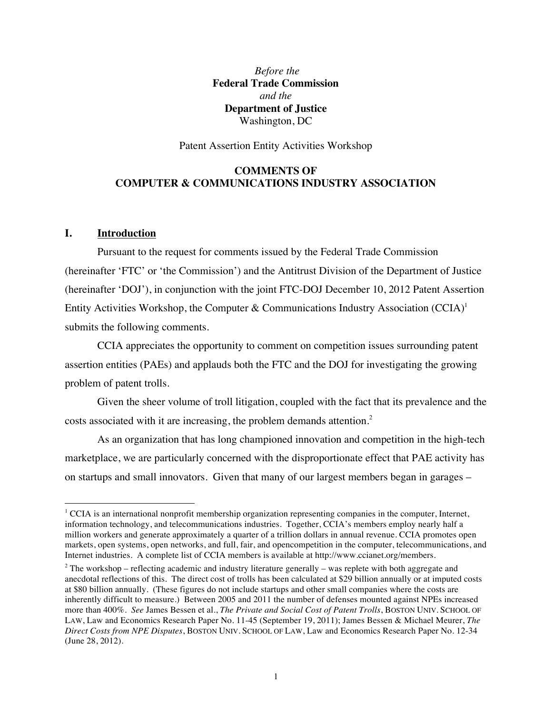*Before the*  **Federal Trade Commission**  *and the*  **Department of Justice** Washington, DC

Patent Assertion Entity Activities Workshop

## **COMMENTS OF COMPUTER & COMMUNICATIONS INDUSTRY ASSOCIATION**

#### **I. Introduction**

Pursuant to the request for comments issued by the Federal Trade Commission (hereinafter 'FTC' or 'the Commission') and the Antitrust Division of the Department of Justice (hereinafter 'DOJ'), in conjunction with the joint FTC-DOJ December 10, 2012 Patent Assertion Entity Activities Workshop, the Computer & Communications Industry Association  $(CCIA)^{1}$ submits the following comments.

CCIA appreciates the opportunity to comment on competition issues surrounding patent assertion entities (PAEs) and applauds both the FTC and the DOJ for investigating the growing problem of patent trolls.

Given the sheer volume of troll litigation, coupled with the fact that its prevalence and the costs associated with it are increasing, the problem demands attention. $2$ 

As an organization that has long championed innovation and competition in the high-tech marketplace, we are particularly concerned with the disproportionate effect that PAE activity has on startups and small innovators. Given that many of our largest members began in garages –

 $1$  CCIA is an international nonprofit membership organization representing companies in the computer, Internet, million workers and generate approximately a quarter of a trillion dollars in annual revenue. CCIA promotes open markets, open systems, open networks, and full, fair, and opencompetition in the computer, telecommunications, and Internet industries. A complete list of CCIA members is available at http://www.ccianet.org/members. information technology, and telecommunications industries. Together, CCIA's members employ nearly half a

 $2$  The workshop – reflecting academic and industry literature generally – was replete with both aggregate and anecdotal reflections of this. The direct cost of trolls has been calculated at \$29 billion annually or at imputed costs at \$80 billion annually. (These figures do not include startups and other small companies where the costs are more than 400%. *See* James Bessen et al., *The Private and Social Cost of Patent Trolls*, BOSTON UNIV. SCHOOL OF LAW, Law and Economics Research Paper No. 11-45 (September 19, 2011); James Bessen & Michael Meurer, *The Direct Costs from NPE Disputes*, BOSTON UNIV. SCHOOL OF LAW, Law and Economics Research Paper No. 12-34 (June 28, 2012). inherently difficult to measure.) Between 2005 and 2011 the number of defenses mounted against NPEs increased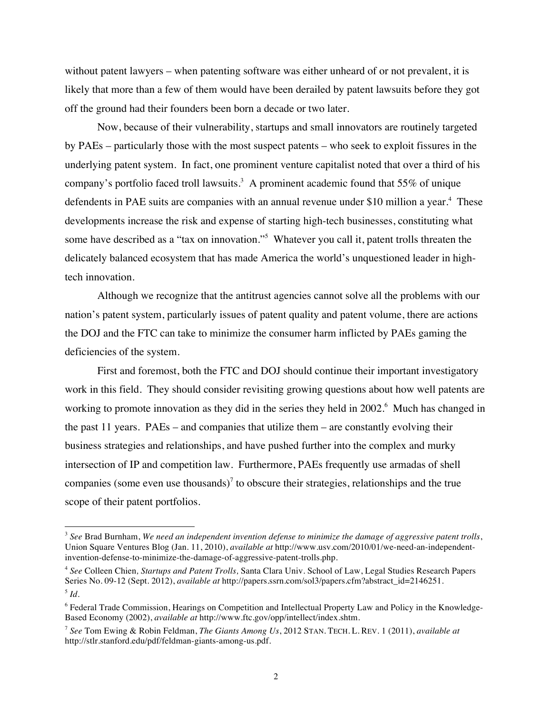without patent lawyers – when patenting software was either unheard of or not prevalent, it is likely that more than a few of them would have been derailed by patent lawsuits before they got off the ground had their founders been born a decade or two later.

 by PAEs – particularly those with the most suspect patents – who seek to exploit fissures in the company's portfolio faced troll lawsuits.<sup>3</sup> A prominent academic found that 55% of unique defendents in PAE suits are companies with an annual revenue under \$10 million a year.<sup>4</sup> These some have described as a "tax on innovation."<sup>5</sup> Whatever you call it, patent trolls threaten the Now, because of their vulnerability, startups and small innovators are routinely targeted underlying patent system. In fact, one prominent venture capitalist noted that over a third of his developments increase the risk and expense of starting high-tech businesses, constituting what delicately balanced ecosystem that has made America the world's unquestioned leader in hightech innovation.

Although we recognize that the antitrust agencies cannot solve all the problems with our nation's patent system, particularly issues of patent quality and patent volume, there are actions the DOJ and the FTC can take to minimize the consumer harm inflicted by PAEs gaming the deficiencies of the system.

working to promote innovation as they did in the series they held in 2002.<sup>6</sup> Much has changed in the past 11 years. PAEs – and companies that utilize them – are constantly evolving their First and foremost, both the FTC and DOJ should continue their important investigatory work in this field. They should consider revisiting growing questions about how well patents are business strategies and relationships, and have pushed further into the complex and murky intersection of IP and competition law. Furthermore, PAEs frequently use armadas of shell companies (some even use thousands)<sup>7</sup> to obscure their strategies, relationships and the true scope of their patent portfolios.

 <sup>3</sup>*See* Brad Burnham, *We need an independent invention defense to minimize the damage of aggressive patent trolls*, Union Square Ventures Blog (Jan. 11, 2010), *available at* http://www.usv.com/2010/01/we-need-an-independentinvention-defense-to-minimize-the-damage-of-aggressive-patent-trolls.php.

 <sup>4</sup>*See* Colleen Chien*, Startups and Patent Trolls,* Santa Clara Univ. School of Law, Legal Studies Research Papers Series No. 09-12 (Sept. 2012), *available at* http://papers.ssrn.com/sol3/papers.cfm?abstract\_id=2146251.  $^5$  *Id.* 

<sup>&</sup>lt;sup>6</sup> Federal Trade Commission, Hearings on Competition and Intellectual Property Law and Policy in the Knowledge-Based Economy (2002), *available at* http://www.ftc.gov/opp/intellect/index.shtm.

 <sup>7</sup>*See* Tom Ewing & Robin Feldman, *The Giants Among Us*, 2012 STAN. TECH. L. REV. 1 (2011), *available at* http://stlr.stanford.edu/pdf/feldman-giants-among-us.pdf.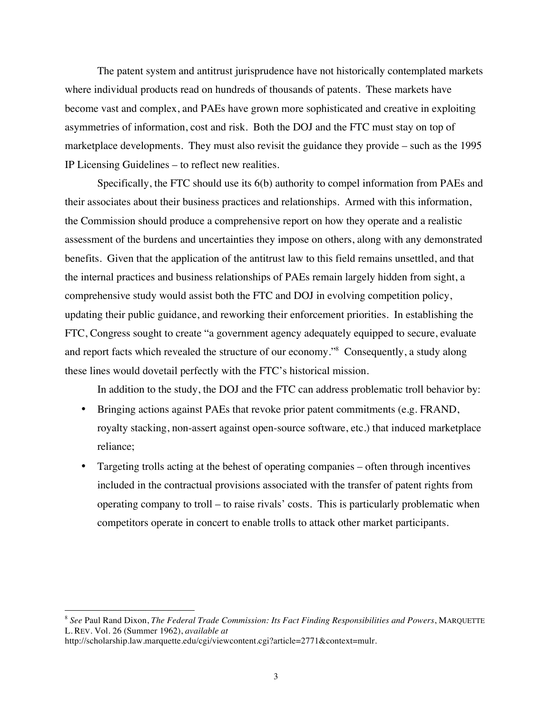marketplace developments. They must also revisit the guidance they provide – such as the 1995 IP Licensing Guidelines – to reflect new realities. The patent system and antitrust jurisprudence have not historically contemplated markets where individual products read on hundreds of thousands of patents. These markets have become vast and complex, and PAEs have grown more sophisticated and creative in exploiting asymmetries of information, cost and risk. Both the DOJ and the FTC must stay on top of

and report facts which revealed the structure of our economy."<sup>8</sup> Consequently, a study along Specifically, the FTC should use its 6(b) authority to compel information from PAEs and their associates about their business practices and relationships. Armed with this information, the Commission should produce a comprehensive report on how they operate and a realistic assessment of the burdens and uncertainties they impose on others, along with any demonstrated benefits. Given that the application of the antitrust law to this field remains unsettled, and that the internal practices and business relationships of PAEs remain largely hidden from sight, a comprehensive study would assist both the FTC and DOJ in evolving competition policy, updating their public guidance, and reworking their enforcement priorities. In establishing the FTC, Congress sought to create "a government agency adequately equipped to secure, evaluate these lines would dovetail perfectly with the FTC's historical mission.

In addition to the study, the DOJ and the FTC can address problematic troll behavior by:

- Bringing actions against PAEs that revoke prior patent commitments (e.g. FRAND, royalty stacking, non-assert against open-source software, etc.) that induced marketplace reliance;
- • Targeting trolls acting at the behest of operating companies often through incentives operating company to troll – to raise rivals' costs. This is particularly problematic when included in the contractual provisions associated with the transfer of patent rights from competitors operate in concert to enable trolls to attack other market participants.

 <sup>8</sup>*See* Paul Rand Dixon, *The Federal Trade Commission: Its Fact Finding Responsibilities and Powers*, MARQUETTE L. REV. Vol. 26 (Summer 1962), *available at* 

http://scholarship.law.marquette.edu/cgi/viewcontent.cgi?article=2771&context=mulr.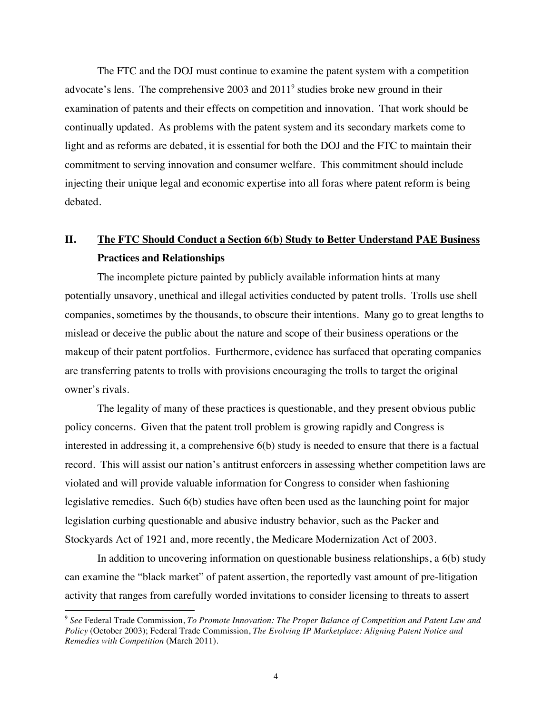The FTC and the DOJ must continue to examine the patent system with a competition advocate's lens. The comprehensive  $2003$  and  $2011<sup>9</sup>$  studies broke new ground in their examination of patents and their effects on competition and innovation. That work should be continually updated. As problems with the patent system and its secondary markets come to light and as reforms are debated, it is essential for both the DOJ and the FTC to maintain their commitment to serving innovation and consumer welfare. This commitment should include injecting their unique legal and economic expertise into all foras where patent reform is being debated.

# **II. The FTC Should Conduct a Section 6(b) Study to Better Understand PAE Business Practices and Relationships**

The incomplete picture painted by publicly available information hints at many potentially unsavory, unethical and illegal activities conducted by patent trolls. Trolls use shell companies, sometimes by the thousands, to obscure their intentions. Many go to great lengths to mislead or deceive the public about the nature and scope of their business operations or the makeup of their patent portfolios. Furthermore, evidence has surfaced that operating companies are transferring patents to trolls with provisions encouraging the trolls to target the original owner's rivals.

The legality of many of these practices is questionable, and they present obvious public policy concerns. Given that the patent troll problem is growing rapidly and Congress is interested in addressing it, a comprehensive 6(b) study is needed to ensure that there is a factual record. This will assist our nation's antitrust enforcers in assessing whether competition laws are violated and will provide valuable information for Congress to consider when fashioning legislative remedies. Such 6(b) studies have often been used as the launching point for major legislation curbing questionable and abusive industry behavior, such as the Packer and Stockyards Act of 1921 and, more recently, the Medicare Modernization Act of 2003.

In addition to uncovering information on questionable business relationships, a 6(b) study can examine the "black market" of patent assertion, the reportedly vast amount of pre-litigation activity that ranges from carefully worded invitations to consider licensing to threats to assert

<sup>9</sup>*See* Federal Trade Commission, *To Promote Innovation: The Proper Balance of Competition and Patent Law and Policy* (October 2003); Federal Trade Commission, *The Evolving IP Marketplace: Aligning Patent Notice and Remedies with Competition* (March 2011)*.*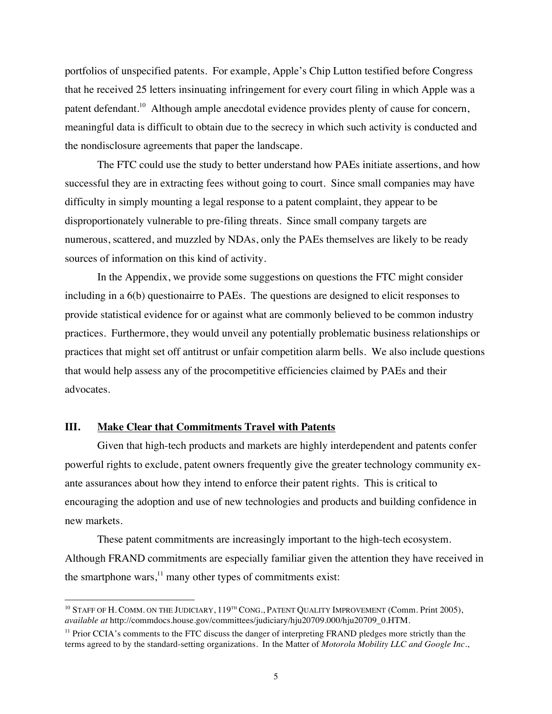portfolios of unspecified patents. For example, Apple's Chip Lutton testified before Congress that he received 25 letters insinuating infringement for every court filing in which Apple was a patent defendant.<sup>10</sup> Although ample anecdotal evidence provides plenty of cause for concern, meaningful data is difficult to obtain due to the secrecy in which such activity is conducted and the nondisclosure agreements that paper the landscape.

 successful they are in extracting fees without going to court. Since small companies may have disproportionately vulnerable to pre-filing threats. Since small company targets are sources of information on this kind of activity. The FTC could use the study to better understand how PAEs initiate assertions, and how difficulty in simply mounting a legal response to a patent complaint, they appear to be numerous, scattered, and muzzled by NDAs, only the PAEs themselves are likely to be ready

In the Appendix, we provide some suggestions on questions the FTC might consider including in a 6(b) questionairre to PAEs. The questions are designed to elicit responses to provide statistical evidence for or against what are commonly believed to be common industry practices. Furthermore, they would unveil any potentially problematic business relationships or practices that might set off antitrust or unfair competition alarm bells. We also include questions that would help assess any of the procompetitive efficiencies claimed by PAEs and their advocates.

#### **III. Make Clear that Commitments Travel with Patents**

Given that high-tech products and markets are highly interdependent and patents confer powerful rights to exclude, patent owners frequently give the greater technology community exante assurances about how they intend to enforce their patent rights. This is critical to encouraging the adoption and use of new technologies and products and building confidence in new markets.

the smartphone wars, $^{11}$  many other types of commitments exist: the smartphone wars,<sup>11</sup> many other types of commitments exist:<br><sup>10</sup> STAFF OF H. COMM. ON THE JUDICIARY,  $119^{TH}$  CONG., PATENT QUALITY IMPROVEMENT (Comm. Print 2005), These patent commitments are increasingly important to the high-tech ecosystem. Although FRAND commitments are especially familiar given the attention they have received in

*available at* http://commdocs.house.gov/committees/judiciary/hju20709.000/hju20709\_0.HTM.

<sup>&</sup>lt;sup>11</sup> Prior CCIA's comments to the FTC discuss the danger of interpreting FRAND pledges more strictly than the terms agreed to by the standard-setting organizations. In the Matter of *Motorola Mobility LLC and Google Inc.*,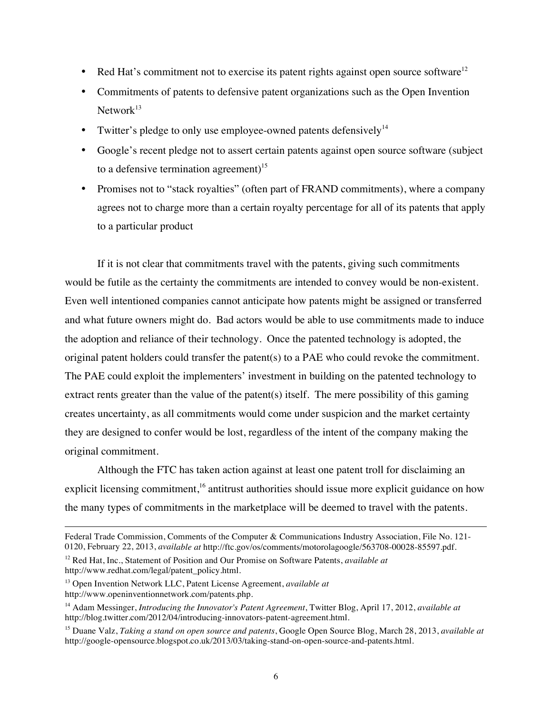- Red Hat's commitment not to exercise its patent rights against open source software<sup>12</sup>
- Commitments of patents to defensive patent organizations such as the Open Invention  $Network<sup>13</sup>$
- Twitter's pledge to only use employee-owned patents defensively<sup>14</sup>
- Google's recent pledge not to assert certain patents against open source software (subject to a defensive termination agreement) $15$
- Promises not to "stack royalties" (often part of FRAND commitments), where a company agrees not to charge more than a certain royalty percentage for all of its patents that apply to a particular product

If it is not clear that commitments travel with the patents, giving such commitments would be futile as the certainty the commitments are intended to convey would be non-existent. Even well intentioned companies cannot anticipate how patents might be assigned or transferred and what future owners might do. Bad actors would be able to use commitments made to induce the adoption and reliance of their technology. Once the patented technology is adopted, the original patent holders could transfer the patent(s) to a PAE who could revoke the commitment. The PAE could exploit the implementers' investment in building on the patented technology to extract rents greater than the value of the patent(s) itself. The mere possibility of this gaming creates uncertainty, as all commitments would come under suspicion and the market certainty they are designed to confer would be lost, regardless of the intent of the company making the original commitment.

Although the FTC has taken action against at least one patent troll for disclaiming an explicit licensing commitment,<sup>16</sup> antitrust authorities should issue more explicit guidance on how the many types of commitments in the marketplace will be deemed to travel with the patents.

 Federal Trade Commission, Comments of the Computer & Communications Industry Association, File No. 121- 0120, February 22, 2013, *available at* http://ftc.gov/os/comments/motorolagoogle/563708-00028-85597.pdf.

 12 Red Hat, Inc., Statement of Position and Our Promise on Software Patents, *available at*  http://www.redhat.com/legal/patent\_policy.html.

 13 Open Invention Network LLC, Patent License Agreement, *available at* 

http://www.openinventionnetwork.com/patents.php.

 14 Adam Messinger, *Introducing the Innovator's Patent Agreement*, Twitter Blog, April 17, 2012, *available at* http://blog.twitter.com/2012/04/introducing-innovators-patent-agreement.html.

 15 Duane Valz, *Taking a stand on open source and patents*, Google Open Source Blog, March 28, 2013, *available at* http://google-opensource.blogspot.co.uk/2013/03/taking-stand-on-open-source-and-patents.html.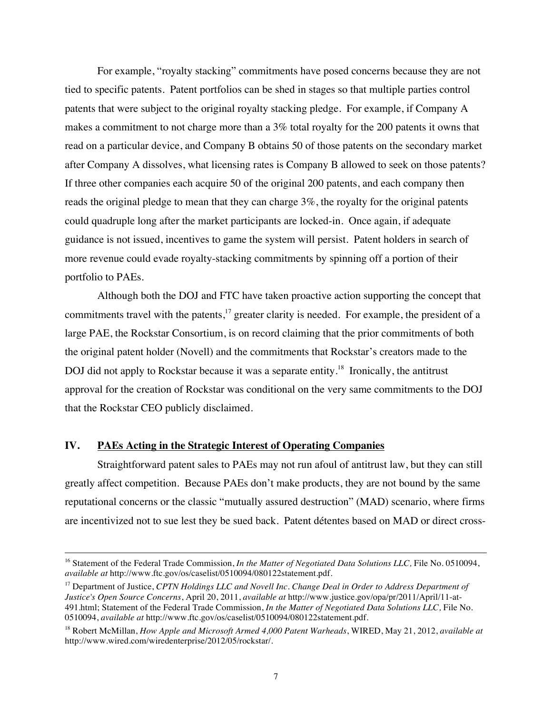after Company A dissolves, what licensing rates is Company B allowed to seek on those patents? For example, "royalty stacking" commitments have posed concerns because they are not tied to specific patents. Patent portfolios can be shed in stages so that multiple parties control patents that were subject to the original royalty stacking pledge. For example, if Company A makes a commitment to not charge more than a 3% total royalty for the 200 patents it owns that read on a particular device, and Company B obtains 50 of those patents on the secondary market If three other companies each acquire 50 of the original 200 patents, and each company then reads the original pledge to mean that they can charge 3%, the royalty for the original patents could quadruple long after the market participants are locked-in. Once again, if adequate guidance is not issued, incentives to game the system will persist. Patent holders in search of more revenue could evade royalty-stacking commitments by spinning off a portion of their portfolio to PAEs.

DOJ did not apply to Rockstar because it was a separate entity.<sup>18</sup> Ironically, the antitrust Although both the DOJ and FTC have taken proactive action supporting the concept that commitments travel with the patents, $17$  greater clarity is needed. For example, the president of a large PAE, the Rockstar Consortium, is on record claiming that the prior commitments of both the original patent holder (Novell) and the commitments that Rockstar's creators made to the approval for the creation of Rockstar was conditional on the very same commitments to the DOJ that the Rockstar CEO publicly disclaimed.

#### **IV. PAEs Acting in the Strategic Interest of Operating Companies**

Straightforward patent sales to PAEs may not run afoul of antitrust law, but they can still greatly affect competition. Because PAEs don't make products, they are not bound by the same reputational concerns or the classic "mutually assured destruction" (MAD) scenario, where firms are incentivized not to sue lest they be sued back. Patent détentes based on MAD or direct cross-

<sup>&</sup>lt;sup>16</sup> Statement of the Federal Trade Commission, *In the Matter of Negotiated Data Solutions LLC*, File No. 0510094, *available at* http://www.ftc.gov/os/caselist/0510094/080122statement.pdf.

 17 Department of Justice, *CPTN Holdings LLC and Novell Inc. Change Deal in Order to Address Department of Justice's Open Source Concerns*, April 20, 2011, *available at* http://www.justice.gov/opa/pr/2011/April/11-at- 491.html; Statement of the Federal Trade Commission, *In the Matter of Negotiated Data Solutions LLC,* File No. 0510094, *available at* http://www.ftc.gov/os/caselist/0510094/080122statement.pdf.

 18 Robert McMillan, *How Apple and Microsoft Armed 4,000 Patent Warheads*, WIRED, May 21, 2012, *available at* http://www.wired.com/wiredenterprise/2012/05/rockstar/.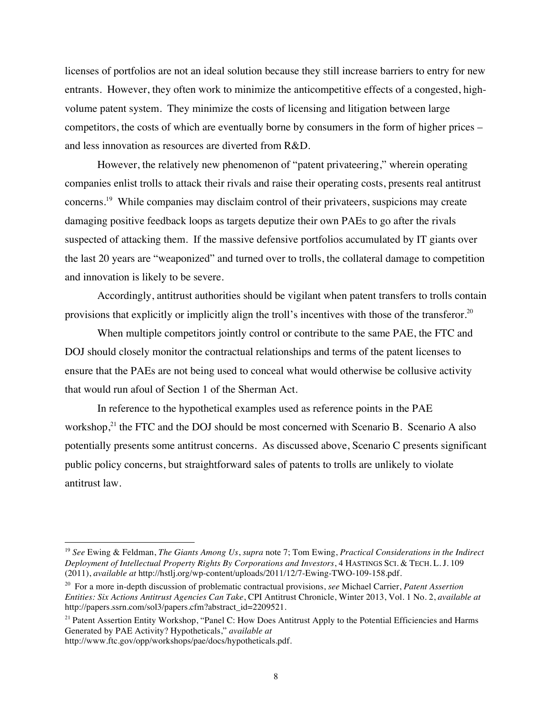competitors, the costs of which are eventually borne by consumers in the form of higher prices – licenses of portfolios are not an ideal solution because they still increase barriers to entry for new entrants. However, they often work to minimize the anticompetitive effects of a congested, highvolume patent system. They minimize the costs of licensing and litigation between large and less innovation as resources are diverted from R&D.

concerns.<sup>19</sup> While companies may disclaim control of their privateers, suspicions may create However, the relatively new phenomenon of "patent privateering," wherein operating companies enlist trolls to attack their rivals and raise their operating costs, presents real antitrust damaging positive feedback loops as targets deputize their own PAEs to go after the rivals suspected of attacking them. If the massive defensive portfolios accumulated by IT giants over the last 20 years are "weaponized" and turned over to trolls, the collateral damage to competition and innovation is likely to be severe.

provisions that explicitly or implicitly align the troll's incentives with those of the transferor.<sup>20</sup> Accordingly, antitrust authorities should be vigilant when patent transfers to trolls contain

When multiple competitors jointly control or contribute to the same PAE, the FTC and DOJ should closely monitor the contractual relationships and terms of the patent licenses to ensure that the PAEs are not being used to conceal what would otherwise be collusive activity that would run afoul of Section 1 of the Sherman Act.

In reference to the hypothetical examples used as reference points in the PAE workshop, $^{21}$  the FTC and the DOJ should be most concerned with Scenario B. Scenario A also potentially presents some antitrust concerns. As discussed above, Scenario C presents significant public policy concerns, but straightforward sales of patents to trolls are unlikely to violate antitrust law.

http://www.ftc.gov/opp/workshops/pae/docs/hypotheticals.pdf.

 <sup>19</sup>*See* Ewing & Feldman, *The Giants Among Us*, *supra* note 7; Tom Ewing, *Practical Considerations in the Indirect Deployment of Intellectual Property Rights By Corporations and Investors*, 4 HASTINGS SCI. & TECH. L. J. 109 (2011), *available at* http://hstlj.org/wp-content/uploads/2011/12/7-Ewing-TWO-109-158.pdf.

 20 For a more in-depth discussion of problematic contractual provisions, *see* Michael Carrier, *Patent Assertion Entities: Six Actions Antitrust Agencies Can Take*, CPI Antitrust Chronicle, Winter 2013, Vol. 1 No. 2, *available at*  http://papers.ssrn.com/sol3/papers.cfm?abstract\_id=2209521.

<sup>&</sup>lt;sup>21</sup> Patent Assertion Entity Workshop, "Panel C: How Does Antitrust Apply to the Potential Efficiencies and Harms Generated by PAE Activity? Hypotheticals," *available at*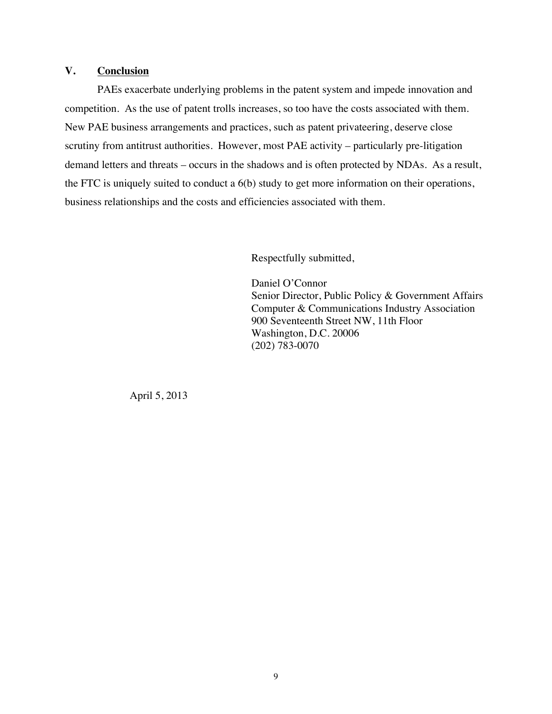## **V. Conclusion**

 demand letters and threats – occurs in the shadows and is often protected by NDAs. As a result, PAEs exacerbate underlying problems in the patent system and impede innovation and competition. As the use of patent trolls increases, so too have the costs associated with them. New PAE business arrangements and practices, such as patent privateering, deserve close scrutiny from antitrust authorities. However, most PAE activity – particularly pre-litigation the FTC is uniquely suited to conduct a 6(b) study to get more information on their operations, business relationships and the costs and efficiencies associated with them.

Respectfully submitted,

 (202) 783-0070 Daniel O'Connor Senior Director, Public Policy & Government Affairs Computer & Communications Industry Association 900 Seventeenth Street NW, 11th Floor Washington, D.C. 20006

April 5, 2013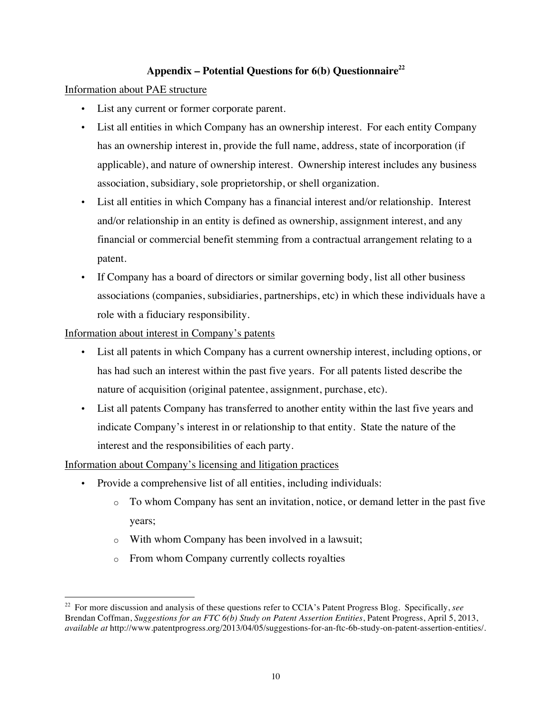# Appendix – Potential Questions for 6(b) Questionnaire<sup>22</sup>

Information about PAE structure

- • List any current or former corporate parent.
- List all entities in which Company has an ownership interest. For each entity Company has an ownership interest in, provide the full name, address, state of incorporation (if applicable), and nature of ownership interest. Ownership interest includes any business association, subsidiary, sole proprietorship, or shell organization.
- List all entities in which Company has a financial interest and/or relationship. Interest and/or relationship in an entity is defined as ownership, assignment interest, and any financial or commercial benefit stemming from a contractual arrangement relating to a patent.
- If Company has a board of directors or similar governing body, list all other business associations (companies, subsidiaries, partnerships, etc) in which these individuals have a role with a fiduciary responsibility.

Information about interest in Company's patents

- • List all patents in which Company has a current ownership interest, including options, or has had such an interest within the past five years. For all patents listed describe the nature of acquisition (original patentee, assignment, purchase, etc).
- List all patents Company has transferred to another entity within the last five years and indicate Company's interest in or relationship to that entity. State the nature of the interest and the responsibilities of each party.

Information about Company's licensing and litigation practices

- • Provide a comprehensive list of all entities, including individuals:
	- $\circ$  To whom Company has sent an invitation, notice, or demand letter in the past five years;
	- $\circ$  With whom Company has been involved in a lawsuit;
	- o From whom Company currently collects royalties

 22 For more discussion and analysis of these questions refer to CCIA's Patent Progress Blog. Specifically, *see*  Brendan Coffman, *Suggestions for an FTC 6(b) Study on Patent Assertion Entities*, Patent Progress, April 5, 2013, *available at* http://www.patentprogress.org/2013/04/05/suggestions-for-an-ftc-6b-study-on-patent-assertion-entities/.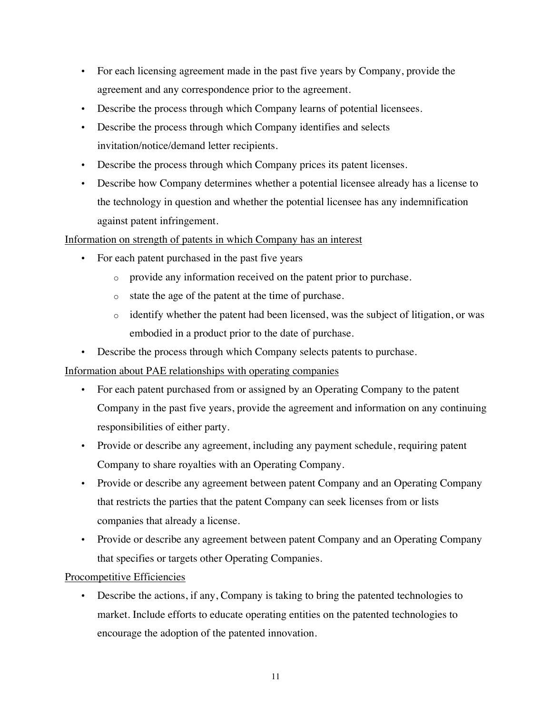- For each licensing agreement made in the past five years by Company, provide the agreement and any correspondence prior to the agreement.
- Describe the process through which Company learns of potential licensees.
- Describe the process through which Company identifies and selects invitation/notice/demand letter recipients.
- Describe the process through which Company prices its patent licenses.
- Describe how Company determines whether a potential licensee already has a license to the technology in question and whether the potential licensee has any indemnification against patent infringement.

## Information on strength of patents in which Company has an interest

- For each patent purchased in the past five years
	- o provide any information received on the patent prior to purchase.
	- o state the age of the patent at the time of purchase.
	- $\circ$  identify whether the patent had been licensed, was the subject of litigation, or was embodied in a product prior to the date of purchase.
- Describe the process through which Company selects patents to purchase.

#### Information about PAE relationships with operating companies

- For each patent purchased from or assigned by an Operating Company to the patent Company in the past five years, provide the agreement and information on any continuing responsibilities of either party.
- Provide or describe any agreement, including any payment schedule, requiring patent Company to share royalties with an Operating Company.
- Provide or describe any agreement between patent Company and an Operating Company that restricts the parties that the patent Company can seek licenses from or lists companies that already a license.
- Provide or describe any agreement between patent Company and an Operating Company that specifies or targets other Operating Companies.

#### Procompetitive Efficiencies

• Describe the actions, if any, Company is taking to bring the patented technologies to market. Include efforts to educate operating entities on the patented technologies to encourage the adoption of the patented innovation.